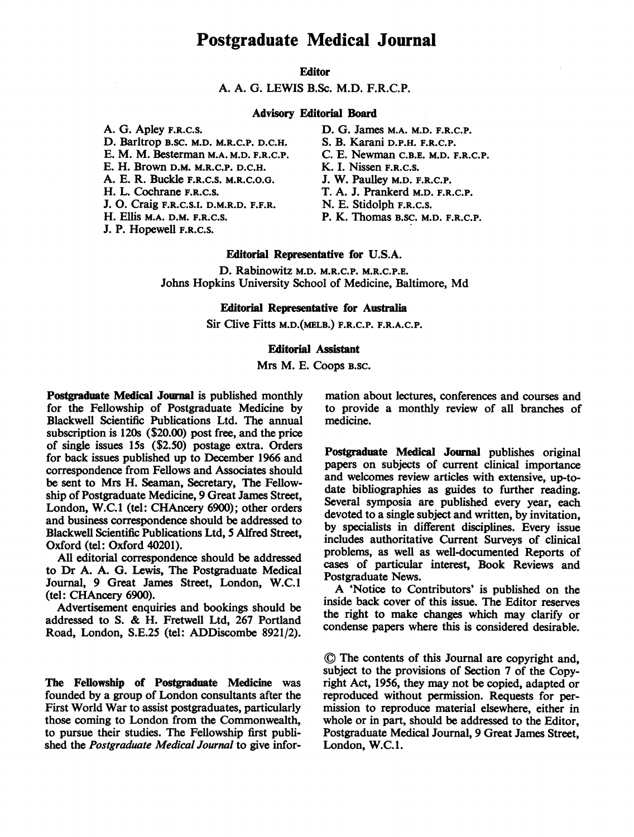# Postgraduate Medical Journal

# Editor

A. A. G. LEWIS B.Sc. M.D. F.R.C.P.

## Advisory Editorial Board

A. G. Apley F.R.C.S. D. Barltrop B.SC. M.D. M.R.C.P. D.C.H. E. M. M. Besterman M.A. M.D. F.R.C.P. E. H. Brown D.M. M.R.C.P. D.C.H. A. E. R. Buckle F.R.C.S. M.R.C.O.G. H. L. Cochrane F.R.C.S. J. 0. Craig F.R.C.S.I. D.M.R.D. F.F.R. H. Ellis M.A. D.M. F.R.C.S.

J. P. Hopewell F.R.C.S.

- D. G. James M.A. M.D. F.R.C.P. S. B. Karani D.P.H. F.R.C.P. C. E. Newman C.B.E. M.D. F.R.C.P. K. I. Nissen F.R.C.S. J. W. Paulley M.D. F.R.C.P. T. A. J. Prankerd M.D. F.R.C.P.
- N. E. Stidolph F.R.C.S.
- P. K. Thomas B.SC. M.D. F.R.C.P.

# Editorial Representative for U.S.A.

D. Rabinowitz M.D. M.R.C.P. M.R.C.P.E. Johns Hopkins University School of Medicine, Baltimore, Md

# Editorial Representative for Australia

Sir Clive Fitts M.D.(MELB.) F.R.C.P. F.R.A.C.P.

# Editorial Asistant

## Mrs M. E. Coops B.SC.

Postgraduate Medical Journal is published monthly for the Fellowship of Postgraduate Medicine by Blackwell Scientific Publications Ltd. The annual subscription is 120s (\$20.00) post free, and the price of single issues 15s (\$2.50) postage extra. Orders for back issues published up to December 1966 and correspondence from Fellows and Associates should be sent to Mrs H. Seaman, Secretary, The Fellowship of Postgraduate Medicine, 9 Great James Street, London, W.C.1 (tel: CHAncery 6900); other orders and business correspondence should be addressed to Blackwell Scientific Publications Ltd, 5 Alfred Street, Oxford (tel: Oxford 40201).

All editorial correspondence should be addressed to Dr A. A. G. Lewis, The Postgraduate Medical Journal, 9 Great James Street, London, W.C.1 (tel: CHAncery 6900).

Advertisement enquiries and bookings should be addressed to S. & H. Fretwell Ltd, <sup>267</sup> Portland Road, London, S.E.25 (tel: ADDiscombe 8921/2).

The Fellowship of Postgraduate Medicine was founded by a group of London consultants after the First World War to assist postgraduates, particularly those coming to London from the Commonwealth, to pursue their studies. The Fellowship first published the Postgraduate Medical Journal to give information about lectures, conferences and courses and to provide a monthly review of all branches of medicine.

Postgraduate Medical Journal publishes original papers on subjects of current clinical importance and welcomes review articles with extensive, up-todate bibliographies as guides to further reading. Several symposia are published every year, each devoted to a single subject and written, by invitation, by specialists in different disciplines. Every issue includes authoritative Current Surveys of clinical problems, as well as well-documented Reports of cases of particular interest, Book Reviews and Postgraduate News.

A 'Notice to Contributors' is published on the inside back cover of this issue. The Editor reserves the right to make changes which may clarify or condense papers where this is considered desirable.

(D The contents of this Journal are copyright and, subject to the provisions of Section 7 of the Copyright Act, 1956, they may not be copied, adapted or reproduced without permission. Requests for permission to reproduce material elsewhere, either in whole or in part, should be addressed to the Editor, Postgraduate Medical Journal, 9 Great James Street, London, W.C.1.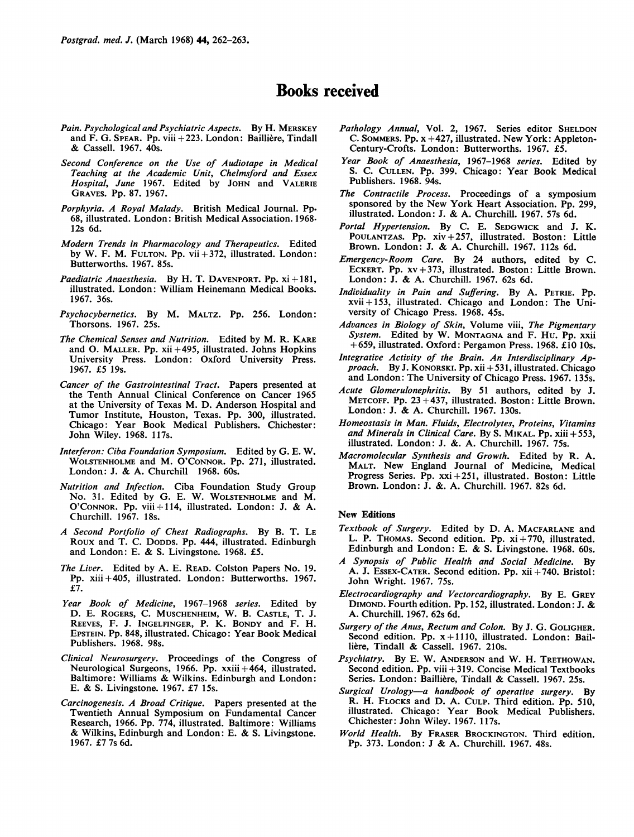# Books received

- Pain. Psychological and Psychiatric Aspects. By H. MERSKEY and F. G. SPEAR. Pp. viii + 223. London: Bailliere, Tindall & Cassell. 1967. 40s.
- Second Conference on the Use of Audiotape in Medical Teaching at the Academic Unit, Chelmsford and Essex Hospital, June 1967. Edited by JOHN and VALERIE GRAVES. Pp. 87. 1967.
- Porphyria. A Royal Malady. British Medical Journal. Pp. 68, illustrated. London: British Medical Association. 1968. 12s 6d.
- Modern Trends in Pharmacology and Therapeutics. Edited by W. F. M. FULTON. Pp.  $vii+372$ , illustrated. London: Butterworths. 1967. 85s.
- Paediatric Anaesthesia. By H. T. DAVENPORT. Pp.  $xi + 181$ , illustrated. London: William Heinemann Medical Books. 1967. 36s.
- Psychocybernetics. By M. MALTZ. Pp. 256. London: Thorsons. 1967. 25s.
- The Chemical Senses and Nutrition. Edited by M. R. KARE and 0. MALLER. Pp. xii +495, illustrated. Johns Hopkins University Press. London: Oxford University Press. 1967. £5 19s.
- Cancer of the Gastrointestinal Tract. Papers presented at the Tenth Annual Clinical Conference on Cancer 1965 at the University of Texas M. D. Anderson Hospital and Tumor Institute, Houston, Texas. Pp. 300, illustrated. Chicago: Year Book Medical Publishers. Chichester: John Wiley. 1968. 117s.
- Interferon: Ciba Foundation Symposium. Edited by G. E. W. WOLSTENHOLME and M. O'CONNOR. Pp. 271, illustrated. London: J. & A. Churchill 1968. 60s.
- Nutrition and Infection. Ciba Foundation Study Group No. 31. Edited by G. E. W. WOLSTENHOLME and M. O'CONNOR. Pp. viii + 114, illustrated. London: J. & A. Churchill. 1967. 18s.
- A Second Portfolio of Chest Radiographs. By B. T. LE Roux and T. C. DODDS. Pp. 444, illustrated. Edinburgh and London: E. & S. Livingstone. 1968. £5.
- The Liver. Edited by A. E. READ. Colston Papers No. 19. Pp. xiii +405, illustrated. London: Butterworths. 1967. £7.
- Year Book of Medicine, 1967-1968 series. Edited by D. E. ROGERS, C. MUSCHENHEIM, W. B. CASTLE, T. J. REEVES, F. J. INGELFINGER, P. K. BONDY and F. H. EPSTEIN. Pp. 848, illustrated. Chicago: Year Book Medical Publishers. 1968. 98s.
- Clinical Neurosurgerv. Proceedings of the Congress of Neurological Surgeons, 1966. Pp. xxiii +464, illustrated. Baltimore: Williams & Wilkins. Edinburgh and London: E. & S. Livingstone. 1967. £7 15s.
- Carcinogenesis. A Broad Critique. Papers presented at the Twentieth Annual Symposium on Fundamental Cancer Research, 1966. Pp. 774, illustrated. Baltimore: Williams & Wilkins, Edinburgh and London: E. & S. Livingstone. 1967. £7 7s 6d.
- Pathology Annual, Vol. 2, 1967. Series editor SHELDON C. SOMMERS. Pp. x +427, illustrated. New York: Appleton-Century-Crofts. London: Butterworths. 1967. £5.
- Year Book of Anaesthesia, 1967-1968 series. Edited by S. C. CULLEN. Pp. 399. Chicago: Year Book Medical Publishers. 1968. 94s.
- The Contractile Process. Proceedings of a symposium sponsored by the New York Heart Association. Pp. 299, illustrated. London: J. & A. Churchill. 1967. 57s 6d.
- Portal Hypertension. By C. E. SEDGWICK and J. K. POULANTZAS. Pp. xiv +257, illustrated. Boston: Little Brown. London: J. & A. Churchill. 1967. 112s 6d.
- Emergency-Room Care. By 24 authors, edited by C. ECKERT. Pp. xv+373, illustrated. Boston: Little Brown. London: J. & A. Churchill. 1967. 62s 6d.
- Individuality in Pain and Suffering. By A. PETRIE. PP. xvii + 153, illustrated. Chicago and London: The University of Chicago Press. 1968. 45s.
- Advances in Biology of Skin, Volume viii, The Pigmentary System. Edited by W. MONTAGNA and F. Hu. Pp. xxii +659, illustrated. Oxford: Pergamon Press. 1968. £10 10s.
- Integrative Activity of the Brain. An Interdisciplinary Approach. By J. KONORSKI. Pp. xii + 531, illustrated. Chicago and London: The University of Chicago Press. 1967. 135s.
- Acute Glomerulonephritis. By 51 authors, edited by J. METCOFF. Pp. 23 +437, illustrated. Boston: Little Brown. London: J. & A. Churchill. 1967. 130s.
- Homeostasis in Man. Fluids, Electrolytes, Proteins, Vitamins and Minerals in Clinical Care. By S. MIKAL. Pp. xiii + 553, illustrated. London: J. &. A. Churchill. 1967. 75s.
- Macromolecular Synthesis and Growth. Edited by R. A. MALT. New England Journal of Medicine, Medical Progress Series. Pp. xxi + 251, illustrated. Boston: Little Brown. London: J. &. A. Churchill. 1967. 82s 6d.

#### New Editions

- Textbook of Surgery. Edited by D. A. MACFARLANE and L. P. THOMAS. Second edition. Pp.  $xi + 770$ , illustrated. Edinburgh and London: E. & S. Livingstone. 1968. 60s.
- A Synopsis of Public Health and Social Medicine. By A. J. ESSEX-CATER. Second edition. Pp. xii + 740. Bristol: John Wright. 1967. 75s.
- Electrocardiography and Vectorcardiography. By E. GREY DIMOND. Fourth edition. Pp. 152, illustrated. London: J. & A. Churchill. 1967. 62s 6d.
- Surgery of the Anus, Rectum and Colon. By J. G. GOLIGHER. Second edition. Pp. x+1110, illustrated. London: Baillière, Tindall & Cassell. 1967. 210s.
- Psychiatry. By E. W. ANDERSON and W. H. TRETHOWAN. Second edition. Pp. viii + 319. Concise Medical Textbooks Series. London: Bailliere, Tindall & Cassell. 1967. 25s.
- Surgical Urology-a handbook of operative surgery. By R. H. FLOCKS and D. A. CULP. Third edition. Pp. 510, illustrated. Chicago: Year Book Medical Publishers. Chichester: John Wiley. 1967. 117s.
- World Health. By FRASER BROCKINGTON. Third edition. Pp. 373. London: <sup>J</sup> & A. Churchill. 1967. 48s.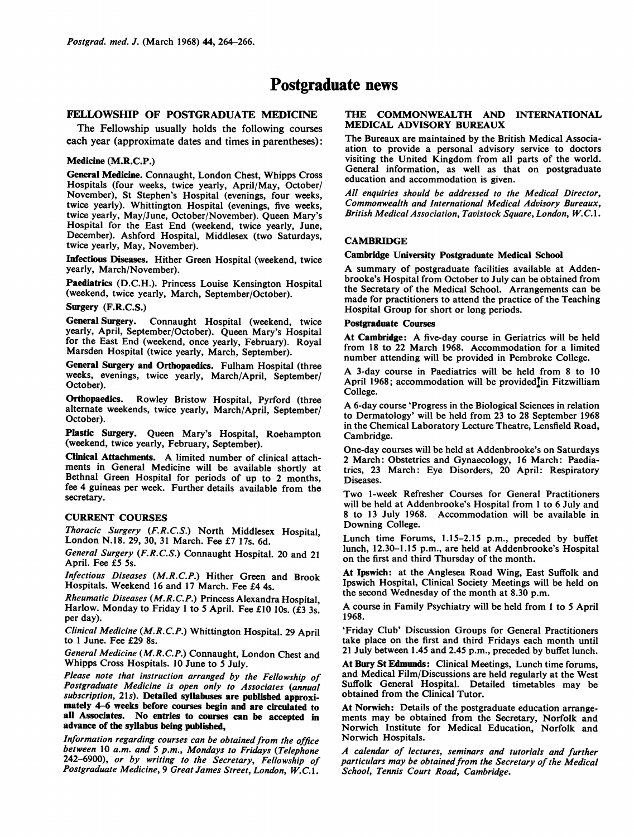# Postgraduate news

# FELLOWSHIP OF POSTGRADUATE MEDICINE

The Fellowship usually holds the following courses each year (approximate dates and times in parentheses):

### Medicine (M.R.C.P.)

General Medicine. Connaught, London Chest, Whipps Cross Hospitals (four weeks, twice yearly, April/May, October/ November), St Stephen's Hospital (evenings, four weeks, twice yearly). Whittington Hospital (evenings, five weeks, twice yearly, May/June, October/November). Queen Mary's Hospital for the East End (weekend, twice yearly, June, December). Ashford Hospital, Middlesex (two Saturdays, twice yearly, May, November).

Infectious Diseases. Hither Green Hospital (weekend, twice yearly, March/November).

Paediatrics (D.C.H.). Princess Louise Kensington Hospital (weekend, twice yearly, March, September/October).

Surgery (F.R.C.S.)

General Surgery. Connaught Hospital (weekend, twice yearly, April, September/October). Queen Mary's Hospital for the East End (weekend, once yearly, February). Royal Marsden Hospital (twice yearly, March, September).

General Surgery and Orthopaedics. Fulham Hospital (three weeks, evenings, twice yearly, March/April, September/ October).

Orthopaedics. Rowley Bristow Hospital, Pyrford (three alternate weekends, twice yearly, March/April, September/ October).

Plastic Surgery. Queen Mary's Hospital, Roehampton (weekend, twice yearly, February, September).

Clinical Attachments. A limited number of clinical attachments in General Medicine will be available shortly at Bethnal Green Hospital for periods of up to 2 months, fee 4 guineas per week. Further details available from the secretary.

## CURRENT COURSES

Thoracic Surgery (F.R.C.S.) North Middlesex Hospital, London N.18. 29, 30, 31 March. Fee £7 17s. 6d.

General Surgery (F.R.C.S.) Connaught Hospital. 20 and 21 April. Fee £5 5s.

Infectious Diseases (M.R.C.P.) Hither Green and Brook Hospitals. Weekend 16 and 17 March. Fee £4 4s.

Rheumatic Diseases (M.R.C.P.) Princess Alexandra Hospital, Harlow. Monday to Friday 1 to 5 April. Fee £10 10s. ( $\dot{\mathbf{z}}$ 3 3s. per day).

Clinical Medicine (M.R.C.P.) Whittington Hospital. 29 April to <sup>1</sup> June. Fee £29 8s.

General Medicine (M.R.C.P.) Connaught, London Chest and Whipps Cross Hospitals. 10 June to 5 July.

Please note that instruction arranged by the Fellowship of Postgraduate Medicine is open only to Associates (annual subscription, 21s). Detailed syllabuses are published approximately 4-6 weeks before courses begin and are circulated to all Associates. No entries to courses can be accepted in advance of the syllabus being published,

Information regarding courses can be obtained from the office between 10 a.m. and 5 p.m., Mondays to Fridays (Telephone 242-6900), or by writing to the Secretary, Fellowship of Postgraduate Medicine, 9 Great James Street, London, W.C.1.

## THE COMMONWEALTH AND INTERNATIONAL MEDICAL ADVISORY BUREAUX

The Bureaux are maintained by the British Medical Associaation to provide a personal advisory service to doctors visiting the United Kingdom from all parts of the world. General information, as well as that on postgraduate education and accommodation is given.

All enquiries should be addressed to the Medical Director, Commonwealth and International Medical Advisory Bureaux, British Medical Association, Tavistock Square, London, W.C.1.

## **CAMBRIDGE**

## Cambridge University Postgraduate Medical School

A summary of postgraduate facilities available at Addenbrooke's Hospital from October to July can be obtained from the Secretary of the Medical School. Arrangements can be made for practitioners to attend the practice of the Teaching Hospital Group for short or long periods.

## Postgraduate Courses

At Cambridge: A five-day course in Geriatrics will be held from 18 to 22 March 1968. Accommodation for a limited number attending will be provided in Pembroke College.

A 3-day course in Paediatrics will be held from <sup>8</sup> to <sup>10</sup> April 1968; accommodation will be provided<sup>I</sup>in Fitzwilliam College.

A 6-day course 'Progress in the Biological Sciences in relation to Dermatology' will be held from 23 to 28 September 1968 in the Chemical Laboratory Lecture Theatre, Lensfield Road, Cambridge.

One-day courses will be held at Addenbrooke's on Saturdays 2 March: Obstetrics and Gynaecology, 16 March: Paediatrics, 23 March: Eye Disorders, 20 April: Respiratory Diseases.

Two 1-week Refresher Courses for General Practitioners will be held at Addenbrooke's Hospital from <sup>1</sup> to 6 July and 8 to 13 July 1968. Accommodation will be available in Downing College.

Lunch time Forums, 1.15-2.15 p.m., preceded by buffet lunch, 12.30-1.15 p.m., are held at Addenbrooke's Hospital on the first and third Thursday of the month.

At Ipswich: at the Anglesea Road Wing, East Suffolk and Ipswich Hospital, Clinical Society Meetings will be held on the second Wednesday of the month at 8.30 p.m.

A course in Family Psychiatry will be held from <sup>1</sup> to <sup>5</sup> April 1968.

'Friday Club' Discussion Groups for General Practitioners take place on the first and third Fridays each month until 21 July between 1.45 and 2.45 p.m., preceded by buffet lunch.

At Bury St Edmunds: Clinical Meetings, Lunch time forums, and Medical Film/Discussions are held regularly at the West Suffolk General Hospital. Detailed timetables may be obtained from the Clinical Tutor.

At Norwich: Details of the postgraduate education arrangements may be obtained from the Secretary, Norfolk and Norwich Institute for Medical Education, Norfolk and Norwich Hospitals.

A calendar of lectures, seminars and tutorials and further particulars may be obtained from the Secretary of the Medical School, Tennis Court Road, Cambridge.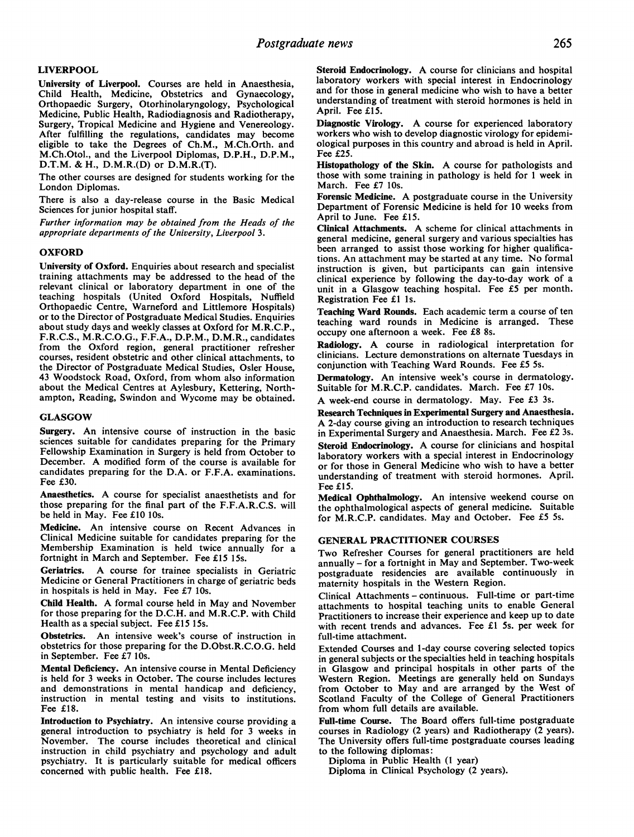## LIVERPOOL

University of Liverpool. Courses are held in Anaesthesia, Child Health, Medicine, Obstetrics and Gynaecology, Orthopaedic Surgery, Otorhinolaryngology, Psychological Medicine, Public Health, Radiodiagnosis and Radiotherapy, Surgery, Tropical Medicine and Hygiene and Venereology. After fulfilling the regulations, candidates may become eligible to take the Degrees of Ch.M., M.Ch.Orth. and M.Ch.Otol., and the Liverpool Diplomas, D.P.H., D.P.M., D.T.M. & H., D.M.R.(D) or D.M.R.(T).

The other courses are designed for students working for the London Diplomas.

There is also a day-release course in the Basic Medical Sciences for junior hospital staff.

Further information may be obtained from the Heads of the appropriate departments of the University, Liverpool 3.

### **OXFORD**

University of Oxford. Enquiries about research and specialist training attachments may be addressed to the head of the relevant clinical or laboratory department in one of the teaching hospitals (United Oxford Hospitals, Nuffield Orthopaedic Centre, Warneford and Littlemore Hospitals) or to the Director of Postgraduate Medical Studies. Enquiries about study days and weekly classes at Oxford for M.R.C.P., F.R.C.S., M.R.C.O.G., F.F.A., D.P.M., D.M.R., candidates from the Oxford region, general practitioner refresher courses, resident obstetric and other clinical attachments, to the Director of Postgraduate Medical Studies, Osler House, 43 Woodstock Road, Oxford, from whom also information about the Medical Centres at Aylesbury, Kettering, Northampton, Reading, Swindon and Wycome may be obtained.

### GLASGOW

Surgery. An intensive course of instruction in the basic sciences suitable for candidates preparing for the Primary Fellowship Examination in Surgery is held from October to December. A modified form of the course is available for candidates preparing for the D.A. or F.F.A. examinations. Fee £30.

Anaesthetics. A course for specialist anaesthetists and for those preparing for the final part of the F.F.A.R.C.S. will be held in May. Fee £10 10s.

Medicine. An intensive course on Recent Advances in Clinical Medicine suitable for candidates preparing for the Membership Examination is held twice annually for a fortnight in March and September. Fee £15 15s.

Geriatrics. A course for trainee specialists in Geriatric Medicine or General Practitioners in charge of geriatric beds in hospitals is held in May. Fee £7 10s.

Child Health. A formal course held in May and November for those preparing for the D.C.H. and M.R.C.P. with Child Health as a special subject. Fee £15 15s.

Obstetrics. An intensive week's course of instruction in obstetrics for those preparing for the D.Obst.R.C.O.G. held in September. Fee £7 10s.

Mental Deficiency. An intensive course in Mental Deficiency is held for 3 weeks in October. The course includes lectures and demonstrations in mental handicap and deficiency, instruction in mental testing and visits to institutions. Fee £18.

Introduction to Psychiatry. An intensive course providing <sup>a</sup> general introduction to psychiatry is held for 3 weeks in November. The course includes theoretical and clinical instruction in child psychiatry and psychology and adult psychiatry. It is particularly suitable for medical officers concerned with public health. Fee £18.

Steroid Endocrinology. A course for clinicians and hospital laboratory workers with special interest in Endocrinology and for those in general medicine who wish to have a better understanding of treatment with steroid hormones is held in April. Fee £15.

Diagnostic Virology. A course for experienced laboratory workers who wish to develop diagnostic virology for epidemiological purposes in this country and abroad is held in April. Fee £25.

Histopathology of the Skin. A course for pathologists and those with some training in pathology is held for <sup>1</sup> week in March. Fee £7 10s.

Forensic Medicine. A postgraduate course in the University Department of Forensic Medicine is held for 10 weeks from April to June. Fee £15.

Clinical Attachments. A scheme for clinical attachments in general medicine, general surgery and various specialties has been arranged to assist those working for higher qualifications. An attachment may be started at any time. No formal instruction is given, but participants can gain intensive clinical experience by following the day-to-day work of a unit in a Glasgow teaching hospital. Fee £5 per month. Registration Fee £1 Is.

Teaching Ward Rounds. Each academic term a course of ten teaching ward rounds in Medicine is arranged. These occupy one afternoon a week. Fee £8 8s.

Radiology. A course in radiological interpretation for clinicians. Lecture demonstrations on alternate Tuesdays in conjunction with Teaching Ward Rounds. Fee £5 5s.

Dermatology. An intensive week's course in dermatology. Suitable for M.R.C.P. candidates. March. Fee £7 10s.

A week-end course in dermatology. May. Fee £3 3s.

Research Techniques in Experimental Surgery and Anaesthesia. A 2-day course giving an introduction to research techniques in Experimental Surgery and Anaesthesia. March. Fee £2 3s.

Steroid Endocrinology. A course for clinicians and hospital laboratory workers with a special interest in Endocrinology or for those in General Medicine who wish to have a better understanding of treatment with steroid hormones. April. Fee £15.

Medical Ophthalmology. An intensive weekend course on the ophthalmological aspects of general medicine. Suitable for M.R.C.P. candidates. May and October. Fee £5 5s.

## GENERAL PRACTITIONER COURSES

Two Refresher Courses for general practitioners are held annually - for <sup>a</sup> fortnight in May and September. Two-week postgraduate residencies are available continuously in maternity hospitals in the Western Region.

Clinical Attachments - continuous. Full-time or part-time attachments to hospital teaching units to enable General Practitioners to increase their experience and keep up to date with recent trends and advances. Fee £1 5s. per week for full-time attachment.

Extended Courses and 1-day course covering selected topics in general subjects or the specialties held in teaching hospitals in Glasgow and principal hospitals in other parts of the Western Region. Meetings are generally held on Sundays from October to May and are arranged by the West of Scotland Faculty of the College of General Practitioners from whom full details are available.

Full-time Course. The Board offers full-time postgraduate courses in Radiology (2 years) and Radiotherapy (2 years). The University offers full-time postgraduate courses leading to the following diplomas:

Diploma in Public Health (1 year)

Diploma in Clinical Psychology (2 years).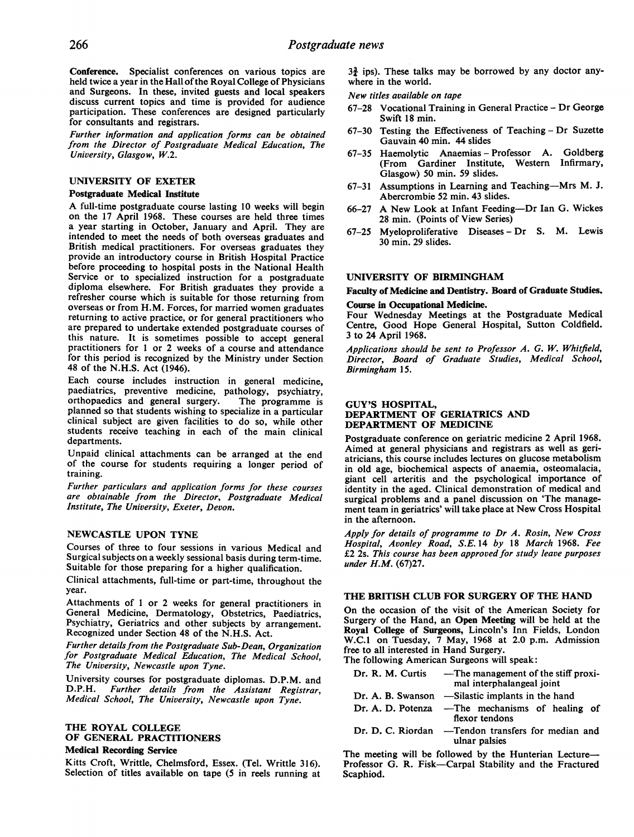Conference. Specialist conferences on various topics are held twice a year in the Hall of the Royal College of Physicians and Surgeons. In these, invited guests and local speakers discuss current topics and time is provided for audience participation. These conferences are designed particularly for consultants and registrars.

Further information and application forms can be obtained from the Director of Postgraduate Medical Education, The University, Glasgow, W.2.

# UNIVERSITY OF EXETER

## Postgraduate Medical Institute

A full-time postgraduate course lasting <sup>10</sup> weeks will begin on the 17 April 1968. These courses are held three times a year starting in October, January and April. They are intended to meet the needs of both overseas graduates and British medical practitioners. For overseas graduates they provide an introductory course in British Hospital Practice before proceeding to hospital posts in the National Health Service or to specialized instruction for a postgraduate diploma elsewhere. For British graduates they provide a refresher course which is suitable for those returning from overseas or from H.M. Forces, for married women graduates returning to active practice, or for general practitioners who are prepared to undertake extended postgraduate courses of this nature. It is sometimes possible to accept general practitioners for <sup>1</sup> or 2 weeks of a course and attendance for this period is recognized by the Ministry under Section 48 of the N.H.S. Act (1946).

Each course includes instruction in general medicine, paediatrics, preventive medicine, pathology, psychiatry, orthopaedics and general surgery. The programme is planned so that students wishing to specialize in a particular clinical subject are given facilities to do so, while other students receive teaching in each of the main clinical departments.

Unpaid clinical attachments can be arranged at the end of the course for students requiring a longer period of training.

Further particulars and application forms for these courses are obtainable from the Director, Postgraduate Medical Institute, The University, Exeter, Devon.

## NEWCASTLE UPON TYNE

Courses of three to four sessions in various Medical and Surgical subjects on a weekly sessional basis during term-time. Suitable for those preparing for a higher qualification.

Clinical attachments, full-time or part-time, throughout the year.

Attachments of <sup>1</sup> or 2 weeks for general practitioners in General Medicine, Dermatology, Obstetrics, Paediatrics, Psychiatry, Geriatrics and other subjects by arrangement. Recognized under Section 48 of the N.H.S. Act.

Further details from the Postgraduate Sub-Dean, Organization for Postgraduate Medical Education, The Medical School, The University, Newcastle upon Tyne.

University courses for postgraduate diplomas. D.P.M. and D.P.H. Further details from the Assistant Registrar, Medical School, The University, Newcastle upon Tyne.

# THE ROYAL COLLEGE OF GENERAL PRACTITIONERS

## Medical Recording Service

Kitts Croft, Writtle, Chelmsford, Essex. (Tel. Writtle 316). Selection of titles available on tape (5 in reels running at  $3\frac{3}{2}$  ips). These talks may be borrowed by any doctor anywhere in the world.

New titles available on tape

- 67-28 Vocational Training in General Practice Dr George Swift 18 min.
- 67-30 Testing the Effectiveness of Teaching Dr Suzette Gauvain 40 min. 44 slides
- 67-35 Haemolytic Anaemias Professor A. Goldberg (From Gardiner Institute, Western Infirmary, Glasgow) 50 min. 59 slides.
- 67-31 Assumptions in Learning and Teaching-Mrs M. J. Abercrombie 52 min. 43 slides.
- 66-27 A New Look at Infant Feeding-Dr Ian G. Wickes 28 min. (Points of View Series)
- 67-25 Myeloproliferative Diseases Dr S. M. Lewis 30 min. 29 slides.

#### UNIVERSITY OF BIRMINGHAM

Faculty of Medicine and Dentistry. Board of Graduate Studies.

### Course in Occupational Medicine.

Four Wednesday Meetings at the Postgraduate Medical Centre, Good Hope General Hospital, Sutton Coldfield. 3 to 24 April 1968.

Applications should be sent to Professor A. G. W. Whitfield, Director, Board of Graduate Studies, Medical School, Birmingham 15.

### GUY'S HOSPITAL, DEPARTMENT OF GERIATRICS AND DEPARTMENT OF MEDICINE

Postgraduate conference on geriatric medicine 2 April 1968. Aimed at general physicians and registrars as well as geriatricians, this course includes lectures on glucose metabolism in old age, biochemical aspects of anaemia, osteomalacia, giant cell arteritis and the psychological importance of identity in the aged. Clinical demonstration of medical and surgical problems and a panel discussion on 'The management team in geriatrics' will take place at New Cross Hospital in the afternoon.

Apply for details of programme to Dr A. Rosin, New Cross Hospital, Avonley Road, S.E. 14 by 18 March 1968. Fee £2 2s. This- course has been approved for study leave purposes under H.M. (67)27.

## THE BRITISH CLUB FOR SURGERY OF THE HAND

On the occasion of the visit of the American Society for Surgery of the Hand, an Open Meeting will be held at the Royal College of Surgeons, Lincoln's Inn Fields, London W.C.1 on Tuesday, 7 May, 1968 at 2.0 p.m. Admission free to all interested in Hand Surgery.

The following American Surgeons will speak:

| Dr. R. M. Curtis                                                         | — The management of the stiff proxi-<br>mal interphalangeal joint  |  |  |
|--------------------------------------------------------------------------|--------------------------------------------------------------------|--|--|
|                                                                          | Dr. A. B. Swanson — Silastic implants in the hand                  |  |  |
|                                                                          | Dr. A. D. Potenza — The mechanisms of healing of<br>flexor tendons |  |  |
| $D_{\alpha}$ , $D_{\alpha}$ , $D_{\alpha}$ , $D_{\alpha}$ , $D_{\alpha}$ | Tandan tuanafana fan madian and.                                   |  |  |

Dr. D. C. Riordan — Tendon transfers for median and ulnar palsies

The meeting will be followed by the Hunterian Lecture-Professor G. R. Fisk-Carpal Stability and the Fractured Scaphiod.